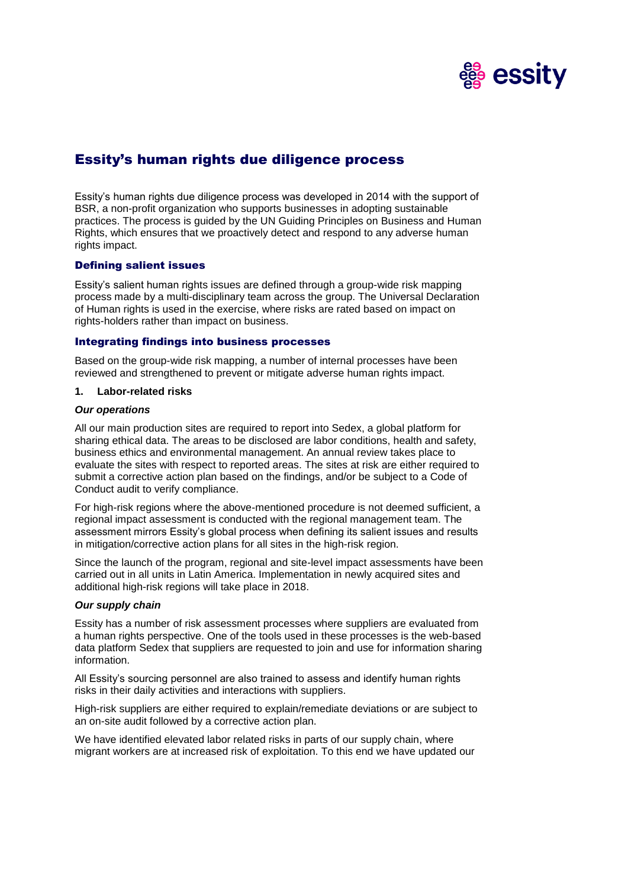

# Essity's human rights due diligence process

Essity's human rights due diligence process was developed in 2014 with the support of BSR, a non-profit organization who supports businesses in adopting sustainable practices. The process is guided by the UN Guiding Principles on Business and Human Rights, which ensures that we proactively detect and respond to any adverse human rights impact.

# Defining salient issues

Essity's salient human rights issues are defined through a group-wide risk mapping process made by a multi-disciplinary team across the group. The Universal Declaration of Human rights is used in the exercise, where risks are rated based on impact on rights-holders rather than impact on business.

# Integrating findings into business processes

Based on the group-wide risk mapping, a number of internal processes have been reviewed and strengthened to prevent or mitigate adverse human rights impact.

#### **1. Labor-related risks**

#### *Our operations*

All our main production sites are required to report into Sedex, a global platform for sharing ethical data. The areas to be disclosed are labor conditions, health and safety, business ethics and environmental management. An annual review takes place to evaluate the sites with respect to reported areas. The sites at risk are either required to submit a corrective action plan based on the findings, and/or be subject to a Code of Conduct audit to verify compliance.

For high-risk regions where the above-mentioned procedure is not deemed sufficient, a regional impact assessment is conducted with the regional management team. The assessment mirrors Essity's global process when defining its salient issues and results in mitigation/corrective action plans for all sites in the high-risk region.

Since the launch of the program, regional and site-level impact assessments have been carried out in all units in Latin America. Implementation in newly acquired sites and additional high-risk regions will take place in 2018.

### *Our supply chain*

Essity has a number of risk assessment processes where suppliers are evaluated from a human rights perspective. One of the tools used in these processes is the web-based data platform Sedex that suppliers are requested to join and use for information sharing information.

All Essity's sourcing personnel are also trained to assess and identify human rights risks in their daily activities and interactions with suppliers.

High-risk suppliers are either required to explain/remediate deviations or are subject to an on-site audit followed by a corrective action plan.

We have identified elevated labor related risks in parts of our supply chain, where migrant workers are at increased risk of exploitation. To this end we have updated our